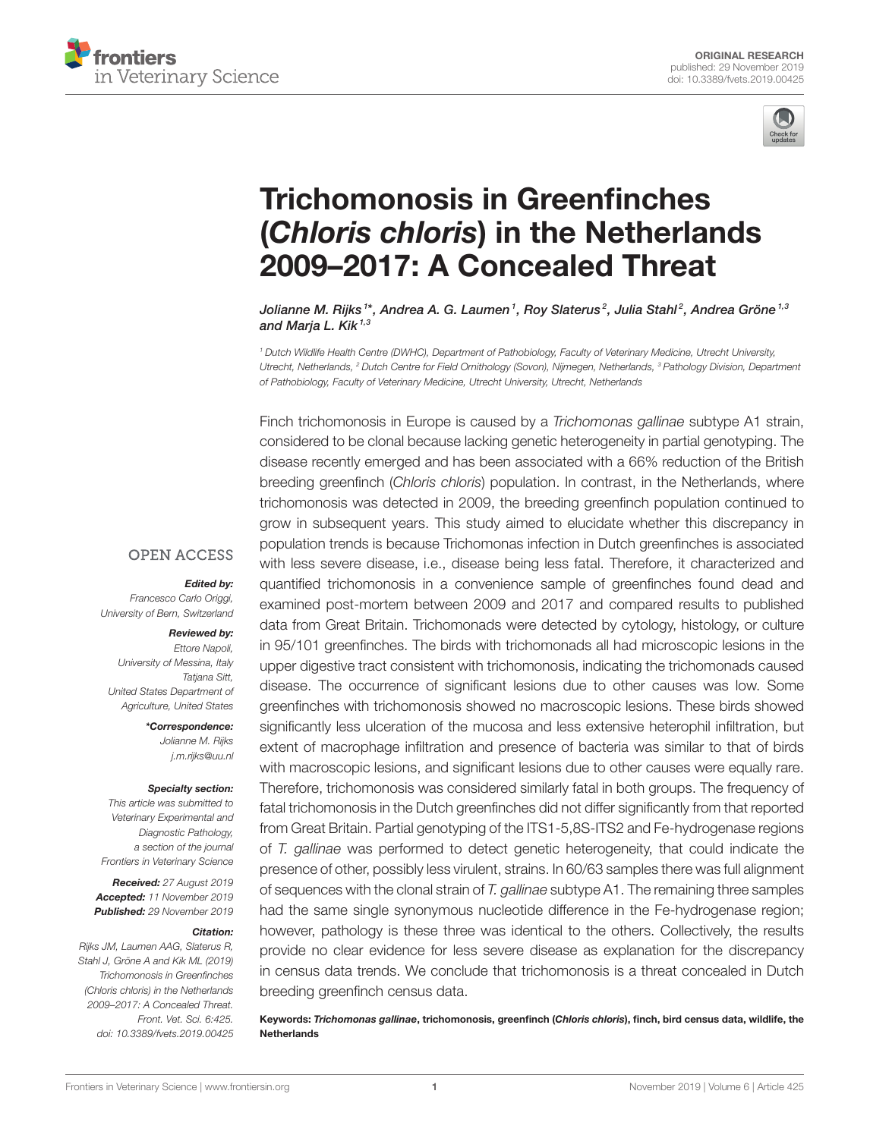



# [Trichomonosis in Greenfinches](https://www.frontiersin.org/articles/10.3389/fvets.2019.00425/full) (Chloris chloris) in the Netherlands 2009–2017: A Concealed Threat

[Jolianne M. Rijks](http://loop.frontiersin.org/people/674898/overview) <sup>1</sup>\*, Andrea A. G. Laumen <sup>1</sup>, [Roy Slaterus](http://loop.frontiersin.org/people/852273/overview) <sup>2</sup>, Julia Stahl <sup>2</sup>, Andrea Gröne <sup>1,3</sup> and [Marja L. Kik](http://loop.frontiersin.org/people/492684/overview)<sup>1,3</sup>

<sup>1</sup> Dutch Wildlife Health Centre (DWHC), Department of Pathobiology, Faculty of Veterinary Medicine, Utrecht University, Utrecht, Netherlands, <sup>2</sup> Dutch Centre for Field Ornithology (Sovon), Nijmegen, Netherlands, <sup>3</sup> Pathology Division, Department of Pathobiology, Faculty of Veterinary Medicine, Utrecht University, Utrecht, Netherlands

Finch trichomonosis in Europe is caused by a Trichomonas gallinae subtype A1 strain, considered to be clonal because lacking genetic heterogeneity in partial genotyping. The disease recently emerged and has been associated with a 66% reduction of the British breeding greenfinch (Chloris chloris) population. In contrast, in the Netherlands, where trichomonosis was detected in 2009, the breeding greenfinch population continued to grow in subsequent years. This study aimed to elucidate whether this discrepancy in population trends is because Trichomonas infection in Dutch greenfinches is associated with less severe disease, i.e., disease being less fatal. Therefore, it characterized and quantified trichomonosis in a convenience sample of greenfinches found dead and examined post-mortem between 2009 and 2017 and compared results to published data from Great Britain. Trichomonads were detected by cytology, histology, or culture in 95/101 greenfinches. The birds with trichomonads all had microscopic lesions in the upper digestive tract consistent with trichomonosis, indicating the trichomonads caused disease. The occurrence of significant lesions due to other causes was low. Some greenfinches with trichomonosis showed no macroscopic lesions. These birds showed significantly less ulceration of the mucosa and less extensive heterophil infiltration, but extent of macrophage infiltration and presence of bacteria was similar to that of birds with macroscopic lesions, and significant lesions due to other causes were equally rare. Therefore, trichomonosis was considered similarly fatal in both groups. The frequency of fatal trichomonosis in the Dutch greenfinches did not differ significantly from that reported from Great Britain. Partial genotyping of the ITS1-5,8S-ITS2 and Fe-hydrogenase regions of T. gallinae was performed to detect genetic heterogeneity, that could indicate the presence of other, possibly less virulent, strains. In 60/63 samples there was full alignment of sequences with the clonal strain of T. gallinae subtype A1. The remaining three samples had the same single synonymous nucleotide difference in the Fe-hydrogenase region; however, pathology is these three was identical to the others. Collectively, the results provide no clear evidence for less severe disease as explanation for the discrepancy in census data trends. We conclude that trichomonosis is a threat concealed in Dutch breeding greenfinch census data.

Keywords: Trichomonas gallinae, trichomonosis, greenfinch (Chloris chloris), finch, bird census data, wildlife, the **Netherlands** 

### **OPEN ACCESS**

Edited by:

Francesco Carlo Origgi, University of Bern, Switzerland

#### Reviewed by:

Ettore Napoli, University of Messina, Italy Tatiana Sitt. United States Department of Agriculture, United States

> \*Correspondence: Jolianne M. Rijks

> > [j.m.rijks@uu.nl](mailto:j.m.rijks@uu.nl)

#### Specialty section:

This article was submitted to Veterinary Experimental and Diagnostic Pathology, a section of the journal Frontiers in Veterinary Science

Received: 27 August 2019 Accepted: 11 November 2019 Published: 29 November 2019

#### Citation:

Rijks JM, Laumen AAG, Slaterus R, Stahl J, Gröne A and Kik ML (2019) Trichomonosis in Greenfinches (Chloris chloris) in the Netherlands 2009–2017: A Concealed Threat. Front. Vet. Sci. 6:425. doi: [10.3389/fvets.2019.00425](https://doi.org/10.3389/fvets.2019.00425)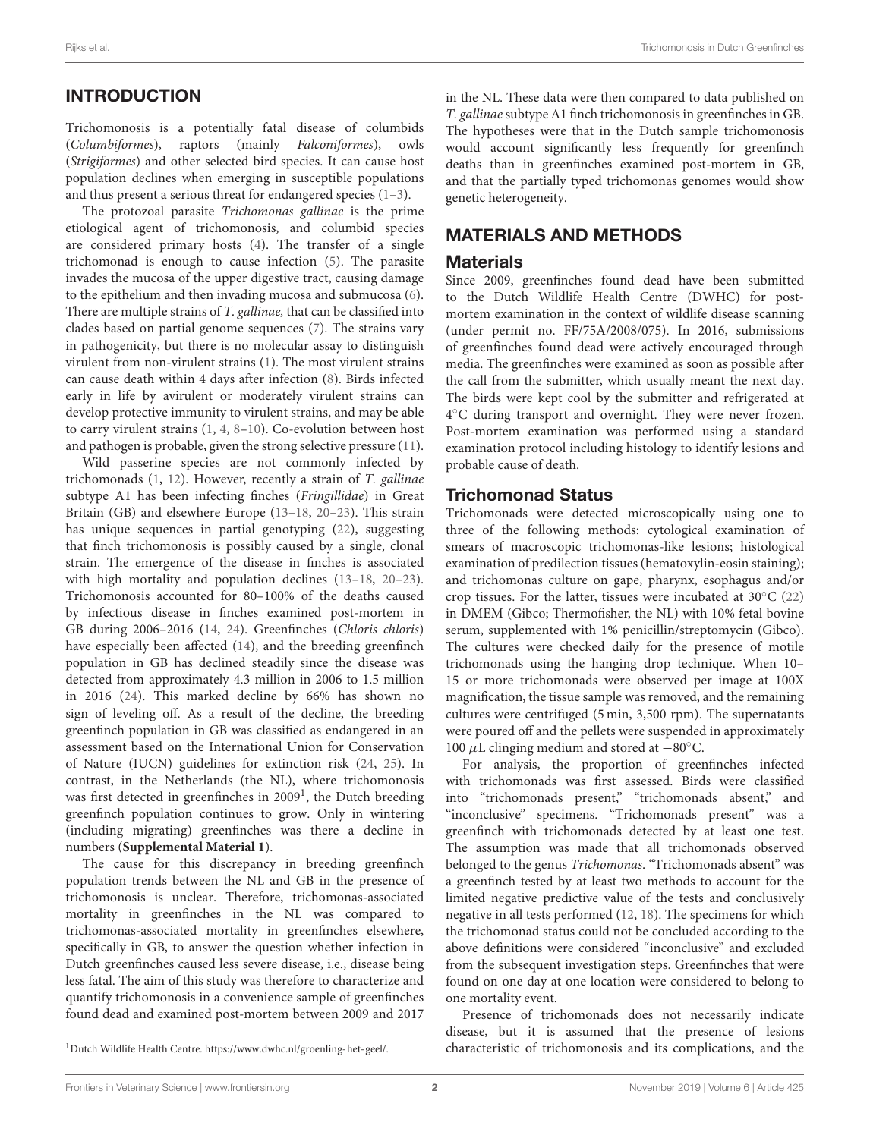# INTRODUCTION

Trichomonosis is a potentially fatal disease of columbids (Columbiformes), raptors (mainly Falconiformes), owls (Strigiformes) and other selected bird species. It can cause host population declines when emerging in susceptible populations and thus present a serious threat for endangered species [\(1–](#page-8-0)[3\)](#page-8-1).

The protozoal parasite Trichomonas gallinae is the prime etiological agent of trichomonosis, and columbid species are considered primary hosts [\(4\)](#page-8-2). The transfer of a single trichomonad is enough to cause infection [\(5\)](#page-8-3). The parasite invades the mucosa of the upper digestive tract, causing damage to the epithelium and then invading mucosa and submucosa [\(6\)](#page-8-4). There are multiple strains of T. gallinae, that can be classified into clades based on partial genome sequences [\(7\)](#page-8-5). The strains vary in pathogenicity, but there is no molecular assay to distinguish virulent from non-virulent strains [\(1\)](#page-8-0). The most virulent strains can cause death within 4 days after infection [\(8\)](#page-8-6). Birds infected early in life by avirulent or moderately virulent strains can develop protective immunity to virulent strains, and may be able to carry virulent strains [\(1,](#page-8-0) [4,](#page-8-2) [8](#page-8-6)[–10\)](#page-8-7). Co-evolution between host and pathogen is probable, given the strong selective pressure [\(11\)](#page-8-8).

Wild passerine species are not commonly infected by trichomonads [\(1,](#page-8-0) [12\)](#page-8-9). However, recently a strain of T. gallinae subtype A1 has been infecting finches (Fringillidae) in Great Britain (GB) and elsewhere Europe [\(13](#page-8-10)[–18,](#page-8-11) [20–](#page-8-12)[23\)](#page-8-13). This strain has unique sequences in partial genotyping [\(22\)](#page-8-14), suggesting that finch trichomonosis is possibly caused by a single, clonal strain. The emergence of the disease in finches is associated with high mortality and population declines [\(13–](#page-8-10)[18,](#page-8-11) [20–](#page-8-12)[23\)](#page-8-13). Trichomonosis accounted for 80–100% of the deaths caused by infectious disease in finches examined post-mortem in GB during 2006–2016 [\(14,](#page-8-15) [24\)](#page-8-16). Greenfinches (Chloris chloris) have especially been affected [\(14\)](#page-8-15), and the breeding greenfinch population in GB has declined steadily since the disease was detected from approximately 4.3 million in 2006 to 1.5 million in 2016 [\(24\)](#page-8-16). This marked decline by 66% has shown no sign of leveling off. As a result of the decline, the breeding greenfinch population in GB was classified as endangered in an assessment based on the International Union for Conservation of Nature (IUCN) guidelines for extinction risk [\(24,](#page-8-16) [25\)](#page-8-17). In contrast, in the Netherlands (the NL), where trichomonosis was first detected in greenfinches in 2009<sup>[1](#page-1-0)</sup>, the Dutch breeding greenfinch population continues to grow. Only in wintering (including migrating) greenfinches was there a decline in numbers (**[Supplemental Material 1](#page-8-18)**).

The cause for this discrepancy in breeding greenfinch population trends between the NL and GB in the presence of trichomonosis is unclear. Therefore, trichomonas-associated mortality in greenfinches in the NL was compared to trichomonas-associated mortality in greenfinches elsewhere, specifically in GB, to answer the question whether infection in Dutch greenfinches caused less severe disease, i.e., disease being less fatal. The aim of this study was therefore to characterize and quantify trichomonosis in a convenience sample of greenfinches found dead and examined post-mortem between 2009 and 2017

in the NL. These data were then compared to data published on T. gallinae subtype A1 finch trichomonosis in greenfinches in GB. The hypotheses were that in the Dutch sample trichomonosis would account significantly less frequently for greenfinch deaths than in greenfinches examined post-mortem in GB, and that the partially typed trichomonas genomes would show genetic heterogeneity.

# MATERIALS AND METHODS

#### **Materials**

Since 2009, greenfinches found dead have been submitted to the Dutch Wildlife Health Centre (DWHC) for postmortem examination in the context of wildlife disease scanning (under permit no. FF/75A/2008/075). In 2016, submissions of greenfinches found dead were actively encouraged through media. The greenfinches were examined as soon as possible after the call from the submitter, which usually meant the next day. The birds were kept cool by the submitter and refrigerated at 4 ◦C during transport and overnight. They were never frozen. Post-mortem examination was performed using a standard examination protocol including histology to identify lesions and probable cause of death.

### Trichomonad Status

Trichomonads were detected microscopically using one to three of the following methods: cytological examination of smears of macroscopic trichomonas-like lesions; histological examination of predilection tissues (hematoxylin-eosin staining); and trichomonas culture on gape, pharynx, esophagus and/or crop tissues. For the latter, tissues were incubated at 30◦C [\(22\)](#page-8-14) in DMEM (Gibco; Thermofisher, the NL) with 10% fetal bovine serum, supplemented with 1% penicillin/streptomycin (Gibco). The cultures were checked daily for the presence of motile trichomonads using the hanging drop technique. When 10– 15 or more trichomonads were observed per image at 100X magnification, the tissue sample was removed, and the remaining cultures were centrifuged (5 min, 3,500 rpm). The supernatants were poured off and the pellets were suspended in approximately 100  $\mu$ L clinging medium and stored at  $-80^{\circ}$ C.

For analysis, the proportion of greenfinches infected with trichomonads was first assessed. Birds were classified into "trichomonads present," "trichomonads absent," and "inconclusive" specimens. "Trichomonads present" was a greenfinch with trichomonads detected by at least one test. The assumption was made that all trichomonads observed belonged to the genus Trichomonas. "Trichomonads absent" was a greenfinch tested by at least two methods to account for the limited negative predictive value of the tests and conclusively negative in all tests performed [\(12,](#page-8-9) [18\)](#page-8-11). The specimens for which the trichomonad status could not be concluded according to the above definitions were considered "inconclusive" and excluded from the subsequent investigation steps. Greenfinches that were found on one day at one location were considered to belong to one mortality event.

Presence of trichomonads does not necessarily indicate disease, but it is assumed that the presence of lesions characteristic of trichomonosis and its complications, and the

<span id="page-1-0"></span><sup>1</sup>Dutch Wildlife Health Centre. [https://www.dwhc.nl/groenling-het-geel/.](https://www.dwhc.nl/groenling-het-geel/)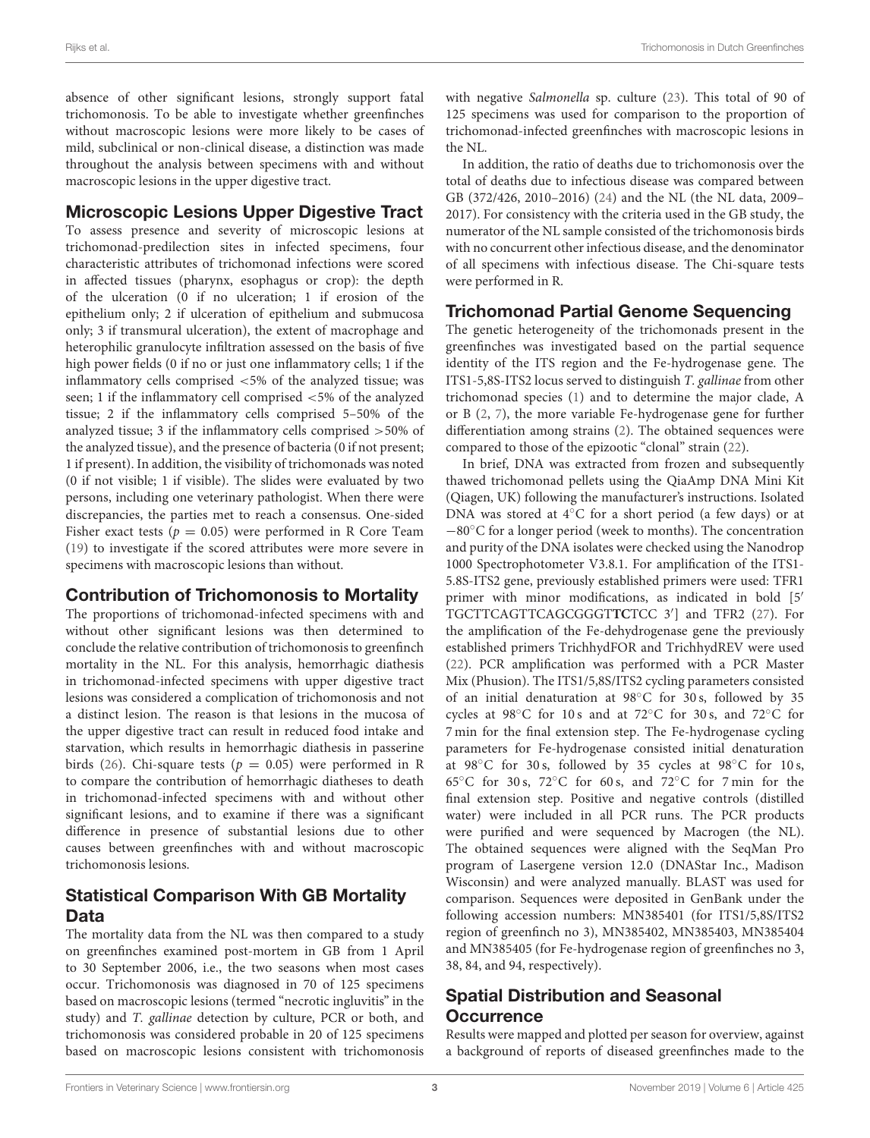absence of other significant lesions, strongly support fatal trichomonosis. To be able to investigate whether greenfinches without macroscopic lesions were more likely to be cases of mild, subclinical or non-clinical disease, a distinction was made throughout the analysis between specimens with and without macroscopic lesions in the upper digestive tract.

### Microscopic Lesions Upper Digestive Tract

To assess presence and severity of microscopic lesions at trichomonad-predilection sites in infected specimens, four characteristic attributes of trichomonad infections were scored in affected tissues (pharynx, esophagus or crop): the depth of the ulceration (0 if no ulceration; 1 if erosion of the epithelium only; 2 if ulceration of epithelium and submucosa only; 3 if transmural ulceration), the extent of macrophage and heterophilic granulocyte infiltration assessed on the basis of five high power fields (0 if no or just one inflammatory cells; 1 if the inflammatory cells comprised <5% of the analyzed tissue; was seen; 1 if the inflammatory cell comprised <5% of the analyzed tissue; 2 if the inflammatory cells comprised 5–50% of the analyzed tissue; 3 if the inflammatory cells comprised >50% of the analyzed tissue), and the presence of bacteria (0 if not present; 1 if present). In addition, the visibility of trichomonads was noted (0 if not visible; 1 if visible). The slides were evaluated by two persons, including one veterinary pathologist. When there were discrepancies, the parties met to reach a consensus. One-sided Fisher exact tests ( $p = 0.05$ ) were performed in R Core Team [\(19\)](#page-8-19) to investigate if the scored attributes were more severe in specimens with macroscopic lesions than without.

### Contribution of Trichomonosis to Mortality

The proportions of trichomonad-infected specimens with and without other significant lesions was then determined to conclude the relative contribution of trichomonosis to greenfinch mortality in the NL. For this analysis, hemorrhagic diathesis in trichomonad-infected specimens with upper digestive tract lesions was considered a complication of trichomonosis and not a distinct lesion. The reason is that lesions in the mucosa of the upper digestive tract can result in reduced food intake and starvation, which results in hemorrhagic diathesis in passerine birds [\(26\)](#page-8-20). Chi-square tests ( $p = 0.05$ ) were performed in R to compare the contribution of hemorrhagic diatheses to death in trichomonad-infected specimens with and without other significant lesions, and to examine if there was a significant difference in presence of substantial lesions due to other causes between greenfinches with and without macroscopic trichomonosis lesions.

# Statistical Comparison With GB Mortality Data

The mortality data from the NL was then compared to a study on greenfinches examined post-mortem in GB from 1 April to 30 September 2006, i.e., the two seasons when most cases occur. Trichomonosis was diagnosed in 70 of 125 specimens based on macroscopic lesions (termed "necrotic ingluvitis" in the study) and T. gallinae detection by culture, PCR or both, and trichomonosis was considered probable in 20 of 125 specimens based on macroscopic lesions consistent with trichomonosis with negative Salmonella sp. culture [\(23\)](#page-8-13). This total of 90 of 125 specimens was used for comparison to the proportion of trichomonad-infected greenfinches with macroscopic lesions in the NL.

In addition, the ratio of deaths due to trichomonosis over the total of deaths due to infectious disease was compared between GB (372/426, 2010–2016) [\(24\)](#page-8-16) and the NL (the NL data, 2009– 2017). For consistency with the criteria used in the GB study, the numerator of the NL sample consisted of the trichomonosis birds with no concurrent other infectious disease, and the denominator of all specimens with infectious disease. The Chi-square tests were performed in R.

# Trichomonad Partial Genome Sequencing

The genetic heterogeneity of the trichomonads present in the greenfinches was investigated based on the partial sequence identity of the ITS region and the Fe-hydrogenase gene. The ITS1-5,8S-ITS2 locus served to distinguish T. gallinae from other trichomonad species [\(1\)](#page-8-0) and to determine the major clade, A or B [\(2,](#page-8-21) [7\)](#page-8-5), the more variable Fe-hydrogenase gene for further differentiation among strains [\(2\)](#page-8-21). The obtained sequences were compared to those of the epizootic "clonal" strain [\(22\)](#page-8-14).

In brief, DNA was extracted from frozen and subsequently thawed trichomonad pellets using the QiaAmp DNA Mini Kit (Qiagen, UK) following the manufacturer's instructions. Isolated DNA was stored at 4◦C for a short period (a few days) or at −80◦C for a longer period (week to months). The concentration and purity of the DNA isolates were checked using the Nanodrop 1000 Spectrophotometer V3.8.1. For amplification of the ITS1- 5.8S-ITS2 gene, previously established primers were used: TFR1 primer with minor modifications, as indicated in bold [5′ TGCTTCAGTTCAGCGGGT**TC**TCC 3′ ] and TFR2 [\(27\)](#page-8-22). For the amplification of the Fe-dehydrogenase gene the previously established primers TrichhydFOR and TrichhydREV were used [\(22\)](#page-8-14). PCR amplification was performed with a PCR Master Mix (Phusion). The ITS1/5,8S/ITS2 cycling parameters consisted of an initial denaturation at 98◦C for 30 s, followed by 35 cycles at 98◦C for 10 s and at 72◦C for 30 s, and 72◦C for 7 min for the final extension step. The Fe-hydrogenase cycling parameters for Fe-hydrogenase consisted initial denaturation at 98 $°C$  for 30 s, followed by 35 cycles at 98 $°C$  for 10 s, 65◦C for 30 s, 72◦C for 60 s, and 72◦C for 7 min for the final extension step. Positive and negative controls (distilled water) were included in all PCR runs. The PCR products were purified and were sequenced by Macrogen (the NL). The obtained sequences were aligned with the SeqMan Pro program of Lasergene version 12.0 (DNAStar Inc., Madison Wisconsin) and were analyzed manually. BLAST was used for comparison. Sequences were deposited in GenBank under the following accession numbers: MN385401 (for ITS1/5,8S/ITS2 region of greenfinch no 3), MN385402, MN385403, MN385404 and MN385405 (for Fe-hydrogenase region of greenfinches no 3, 38, 84, and 94, respectively).

# Spatial Distribution and Seasonal **Occurrence**

Results were mapped and plotted per season for overview, against a background of reports of diseased greenfinches made to the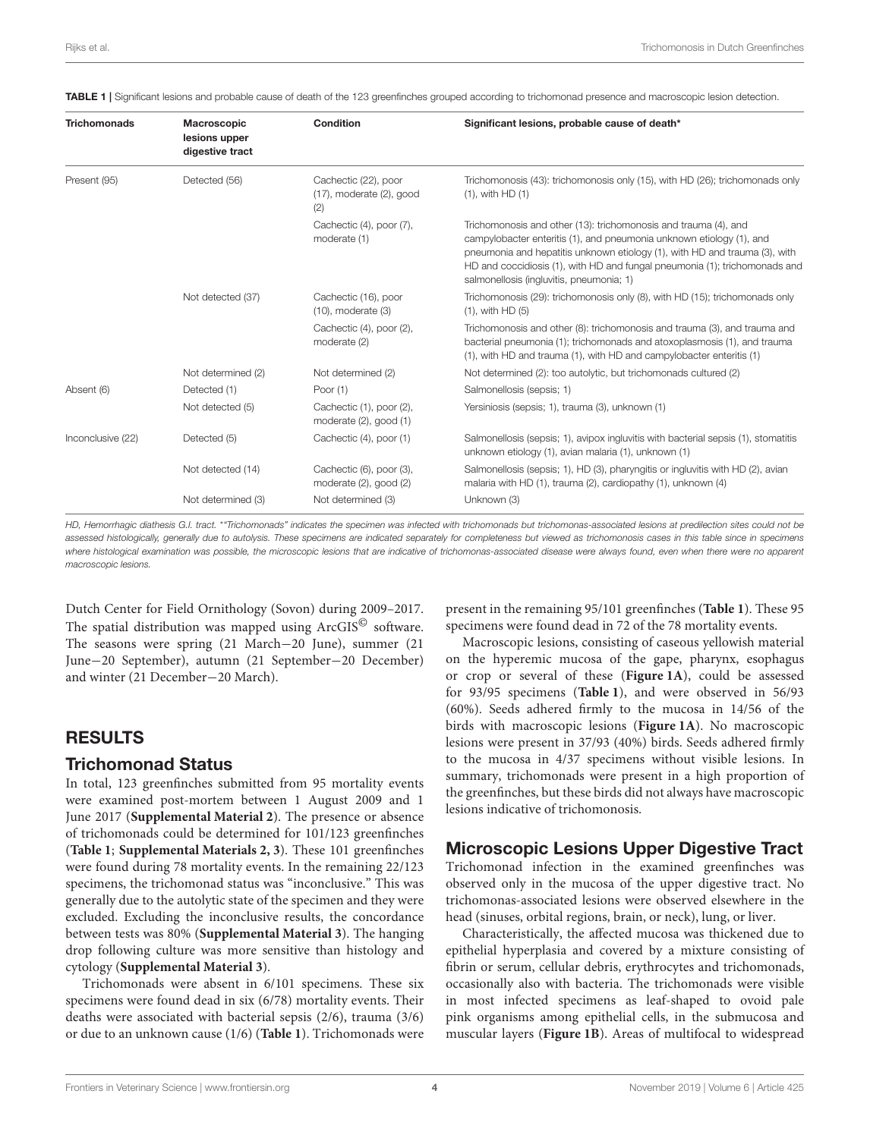<span id="page-3-0"></span>TABLE 1 | Significant lesions and probable cause of death of the 123 greenfinches grouped according to trichomonad presence and macroscopic lesion detection.

| <b>Trichomonads</b> | Macroscopic<br>lesions upper<br>digestive tract | Condition                                                     | Significant lesions, probable cause of death*                                                                                                                                                                                                                                                                                                   |
|---------------------|-------------------------------------------------|---------------------------------------------------------------|-------------------------------------------------------------------------------------------------------------------------------------------------------------------------------------------------------------------------------------------------------------------------------------------------------------------------------------------------|
| Present (95)        | Detected (56)                                   | Cachectic (22), poor<br>$(17)$ , moderate $(2)$ , good<br>(2) | Trichomonosis (43): trichomonosis only (15), with HD (26); trichomonads only<br>$(1)$ , with HD $(1)$                                                                                                                                                                                                                                           |
|                     |                                                 | Cachectic (4), poor (7),<br>moderate (1)                      | Trichomonosis and other (13): trichomonosis and trauma (4), and<br>campylobacter enteritis (1), and pneumonia unknown etiology (1), and<br>pneumonia and hepatitis unknown etiology (1), with HD and trauma (3), with<br>HD and coccidiosis (1), with HD and fungal pneumonia (1); trichomonads and<br>salmonellosis (ingluvitis, pneumonia; 1) |
|                     | Not detected (37)                               | Cachectic (16), poor<br>$(10)$ , moderate $(3)$               | Trichomonosis (29): trichomonosis only (8), with HD (15); trichomonads only<br>$(1)$ , with HD $(5)$                                                                                                                                                                                                                                            |
|                     |                                                 | Cachectic (4), poor (2),<br>moderate (2)                      | Trichomonosis and other (8): trichomonosis and trauma (3), and trauma and<br>bacterial pneumonia (1); trichomonads and atoxoplasmosis (1), and trauma<br>(1), with HD and trauma (1), with HD and campylobacter enteritis (1)                                                                                                                   |
|                     | Not determined (2)                              | Not determined (2)                                            | Not determined (2): too autolytic, but trichomonads cultured (2)                                                                                                                                                                                                                                                                                |
| Absent (6)          | Detected (1)                                    | Poor $(1)$                                                    | Salmonellosis (sepsis: 1)                                                                                                                                                                                                                                                                                                                       |
|                     | Not detected (5)                                | Cachectic (1), poor (2),<br>moderate $(2)$ , good $(1)$       | Yersiniosis (sepsis; 1), trauma (3), unknown (1)                                                                                                                                                                                                                                                                                                |
| Inconclusive (22)   | Detected (5)                                    | Cachectic (4), poor (1)                                       | Salmonellosis (sepsis; 1), avipox ingluvitis with bacterial sepsis (1), stomatitis<br>unknown etiology (1), avian malaria (1), unknown (1)                                                                                                                                                                                                      |
|                     | Not detected (14)                               | Cachectic (6), poor (3),<br>moderate $(2)$ , good $(2)$       | Salmonellosis (sepsis; 1), HD (3), pharyngitis or ingluvitis with HD (2), avian<br>malaria with HD (1), trauma (2), cardiopathy (1), unknown (4)                                                                                                                                                                                                |
|                     | Not determined (3)                              | Not determined (3)                                            | Unknown (3)                                                                                                                                                                                                                                                                                                                                     |

HD, Hemorrhagic diathesis G.I. tract. \*"Trichomonads" indicates the specimen was infected with trichomonads but trichomonas-associated lesions at predilection sites could not be assessed histologically, generally due to autolysis. These specimens are indicated separately for completeness but viewed as trichomonosis cases in this table since in specimens where histological examination was possible, the microscopic lesions that are indicative of trichomonas-associated disease were always found, even when there were no apparent macroscopic lesions.

Dutch Center for Field Ornithology (Sovon) during 2009–2017. The spatial distribution was mapped using ArcGIS<sup>©</sup> software. The seasons were spring (21 March−20 June), summer (21 June−20 September), autumn (21 September−20 December) and winter (21 December−20 March).

# RESULTS

#### Trichomonad Status

In total, 123 greenfinches submitted from 95 mortality events were examined post-mortem between 1 August 2009 and 1 June 2017 (**[Supplemental Material 2](#page-8-18)**). The presence or absence of trichomonads could be determined for 101/123 greenfinches (**[Table 1](#page-3-0)**; **[Supplemental Materials 2, 3](#page-8-18)**). These 101 greenfinches were found during 78 mortality events. In the remaining 22/123 specimens, the trichomonad status was "inconclusive." This was generally due to the autolytic state of the specimen and they were excluded. Excluding the inconclusive results, the concordance between tests was 80% (**[Supplemental Material 3](#page-8-18)**). The hanging drop following culture was more sensitive than histology and cytology (**[Supplemental Material 3](#page-8-18)**).

Trichomonads were absent in 6/101 specimens. These six specimens were found dead in six (6/78) mortality events. Their deaths were associated with bacterial sepsis (2/6), trauma (3/6) or due to an unknown cause (1/6) (**[Table 1](#page-3-0)**). Trichomonads were present in the remaining 95/101 greenfinches (**[Table 1](#page-3-0)**). These 95 specimens were found dead in 72 of the 78 mortality events.

Macroscopic lesions, consisting of caseous yellowish material on the hyperemic mucosa of the gape, pharynx, esophagus or crop or several of these (**[Figure 1A](#page-4-0)**), could be assessed for 93/95 specimens (**[Table 1](#page-3-0)**), and were observed in 56/93 (60%). Seeds adhered firmly to the mucosa in 14/56 of the birds with macroscopic lesions (**[Figure 1A](#page-4-0)**). No macroscopic lesions were present in 37/93 (40%) birds. Seeds adhered firmly to the mucosa in 4/37 specimens without visible lesions. In summary, trichomonads were present in a high proportion of the greenfinches, but these birds did not always have macroscopic lesions indicative of trichomonosis.

#### Microscopic Lesions Upper Digestive Tract

Trichomonad infection in the examined greenfinches was observed only in the mucosa of the upper digestive tract. No trichomonas-associated lesions were observed elsewhere in the head (sinuses, orbital regions, brain, or neck), lung, or liver.

Characteristically, the affected mucosa was thickened due to epithelial hyperplasia and covered by a mixture consisting of fibrin or serum, cellular debris, erythrocytes and trichomonads, occasionally also with bacteria. The trichomonads were visible in most infected specimens as leaf-shaped to ovoid pale pink organisms among epithelial cells, in the submucosa and muscular layers (**[Figure 1B](#page-4-0)**). Areas of multifocal to widespread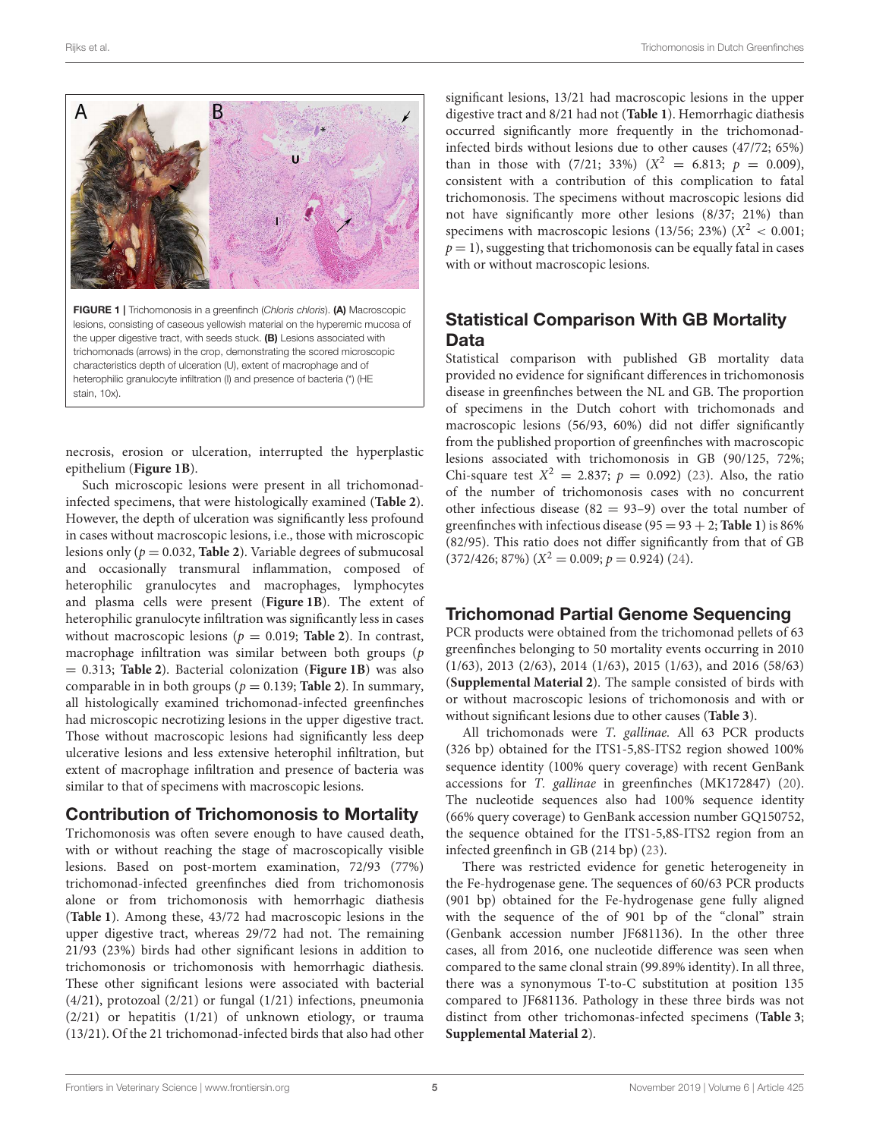

<span id="page-4-0"></span>lesions, consisting of caseous yellowish material on the hyperemic mucosa of the upper digestive tract, with seeds stuck. (B) Lesions associated with trichomonads (arrows) in the crop, demonstrating the scored microscopic characteristics depth of ulceration (U), extent of macrophage and of heterophilic granulocyte infiltration (I) and presence of bacteria (\*) (HE stain, 10x).

necrosis, erosion or ulceration, interrupted the hyperplastic epithelium (**[Figure 1B](#page-4-0)**).

Such microscopic lesions were present in all trichomonadinfected specimens, that were histologically examined (**[Table 2](#page-5-0)**). However, the depth of ulceration was significantly less profound in cases without macroscopic lesions, i.e., those with microscopic lesions only ( $p = 0.032$ , **[Table 2](#page-5-0)**). Variable degrees of submucosal and occasionally transmural inflammation, composed of heterophilic granulocytes and macrophages, lymphocytes and plasma cells were present (**[Figure 1B](#page-4-0)**). The extent of heterophilic granulocyte infiltration was significantly less in cases without macroscopic lesions ( $p = 0.019$ ; **[Table 2](#page-5-0)**). In contrast, macrophage infiltration was similar between both groups (p = 0.313; **[Table 2](#page-5-0)**). Bacterial colonization (**[Figure 1B](#page-4-0)**) was also comparable in in both groups ( $p = 0.139$ ; **[Table 2](#page-5-0)**). In summary, all histologically examined trichomonad-infected greenfinches had microscopic necrotizing lesions in the upper digestive tract. Those without macroscopic lesions had significantly less deep ulcerative lesions and less extensive heterophil infiltration, but extent of macrophage infiltration and presence of bacteria was similar to that of specimens with macroscopic lesions.

# Contribution of Trichomonosis to Mortality

Trichomonosis was often severe enough to have caused death, with or without reaching the stage of macroscopically visible lesions. Based on post-mortem examination, 72/93 (77%) trichomonad-infected greenfinches died from trichomonosis alone or from trichomonosis with hemorrhagic diathesis (**[Table 1](#page-3-0)**). Among these, 43/72 had macroscopic lesions in the upper digestive tract, whereas 29/72 had not. The remaining 21/93 (23%) birds had other significant lesions in addition to trichomonosis or trichomonosis with hemorrhagic diathesis. These other significant lesions were associated with bacterial (4/21), protozoal (2/21) or fungal (1/21) infections, pneumonia (2/21) or hepatitis (1/21) of unknown etiology, or trauma (13/21). Of the 21 trichomonad-infected birds that also had other

significant lesions, 13/21 had macroscopic lesions in the upper digestive tract and 8/21 had not (**[Table 1](#page-3-0)**). Hemorrhagic diathesis occurred significantly more frequently in the trichomonadinfected birds without lesions due to other causes (47/72; 65%) than in those with (7/21; 33%) ( $X^2 = 6.813$ ;  $p = 0.009$ ), consistent with a contribution of this complication to fatal trichomonosis. The specimens without macroscopic lesions did not have significantly more other lesions (8/37; 21%) than specimens with macroscopic lesions (13/56; 23%) ( $X^2$  < 0.001;  $p = 1$ ), suggesting that trichomonosis can be equally fatal in cases with or without macroscopic lesions.

# Statistical Comparison With GB Mortality **Data**

Statistical comparison with published GB mortality data provided no evidence for significant differences in trichomonosis disease in greenfinches between the NL and GB. The proportion of specimens in the Dutch cohort with trichomonads and macroscopic lesions (56/93, 60%) did not differ significantly from the published proportion of greenfinches with macroscopic lesions associated with trichomonosis in GB (90/125, 72%; Chi-square test  $X^2 = 2.837$ ;  $p = 0.092$ ) [\(23\)](#page-8-13). Also, the ratio of the number of trichomonosis cases with no concurrent other infectious disease  $(82 = 93-9)$  over the total number of greenfinches with infectious disease  $(95 = 93 + 2;$  **[Table 1](#page-3-0)**) is 86% (82/95). This ratio does not differ significantly from that of GB  $(372/426; 87%) (X^2 = 0.009; p = 0.924)$  [\(24\)](#page-8-16).

# Trichomonad Partial Genome Sequencing

PCR products were obtained from the trichomonad pellets of 63 greenfinches belonging to 50 mortality events occurring in 2010 (1/63), 2013 (2/63), 2014 (1/63), 2015 (1/63), and 2016 (58/63) (**[Supplemental Material 2](#page-8-18)**). The sample consisted of birds with or without macroscopic lesions of trichomonosis and with or without significant lesions due to other causes (**[Table 3](#page-5-1)**).

All trichomonads were T. gallinae. All 63 PCR products (326 bp) obtained for the ITS1-5,8S-ITS2 region showed 100% sequence identity (100% query coverage) with recent GenBank accessions for T. gallinae in greenfinches (MK172847) [\(20\)](#page-8-12). The nucleotide sequences also had 100% sequence identity (66% query coverage) to GenBank accession number GQ150752, the sequence obtained for the ITS1-5,8S-ITS2 region from an infected greenfinch in GB (214 bp) [\(23\)](#page-8-13).

There was restricted evidence for genetic heterogeneity in the Fe-hydrogenase gene. The sequences of 60/63 PCR products (901 bp) obtained for the Fe-hydrogenase gene fully aligned with the sequence of the of 901 bp of the "clonal" strain (Genbank accession number JF681136). In the other three cases, all from 2016, one nucleotide difference was seen when compared to the same clonal strain (99.89% identity). In all three, there was a synonymous T-to-C substitution at position 135 compared to JF681136. Pathology in these three birds was not distinct from other trichomonas-infected specimens (**[Table 3](#page-5-1)**; **[Supplemental Material 2](#page-8-18)**).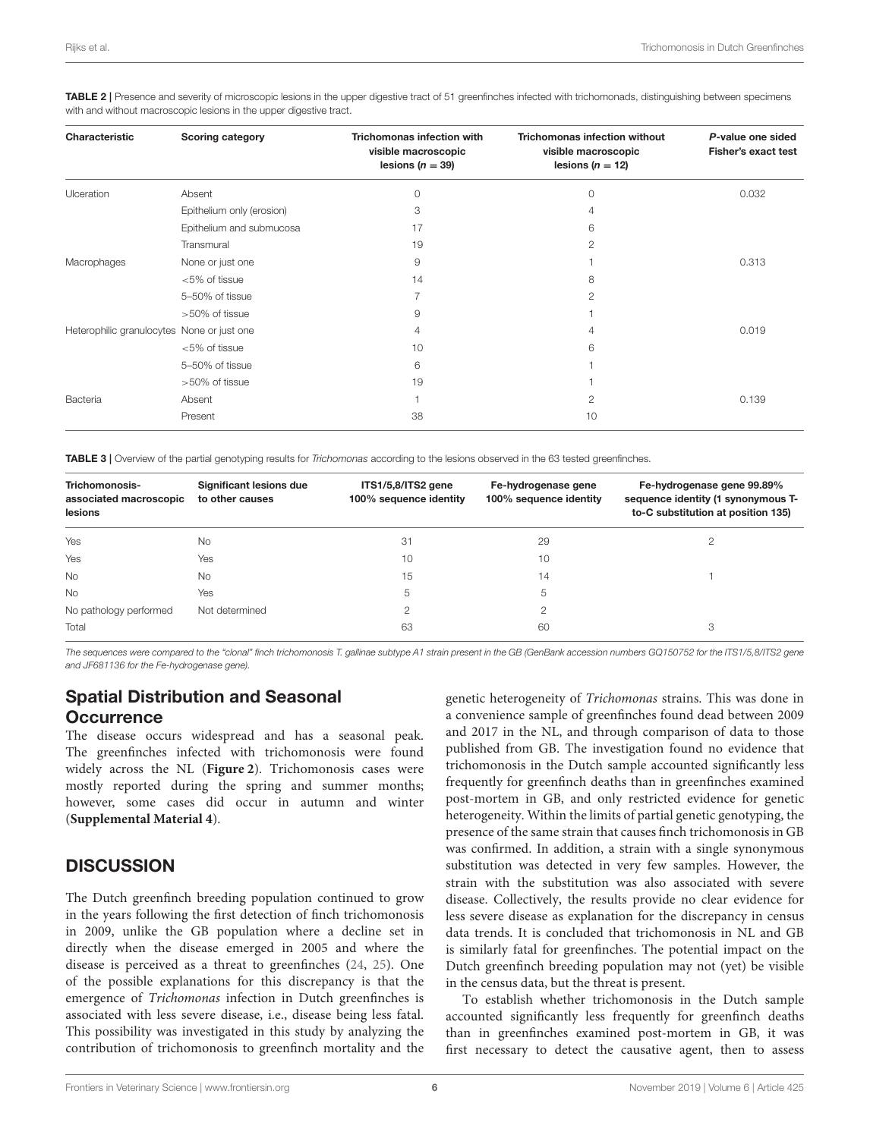| Characteristic                             | <b>Scoring category</b>   | <b>Trichomonas infection with</b><br>visible macroscopic<br>lesions ( $n = 39$ ) | <b>Trichomonas infection without</b><br>visible macroscopic<br>lesions ( $n = 12$ ) | P-value one sided<br><b>Fisher's exact test</b> |
|--------------------------------------------|---------------------------|----------------------------------------------------------------------------------|-------------------------------------------------------------------------------------|-------------------------------------------------|
| Ulceration                                 | Absent                    | 0                                                                                | $\Omega$                                                                            | 0.032                                           |
|                                            | Epithelium only (erosion) | 3                                                                                | 4                                                                                   |                                                 |
|                                            | Epithelium and submucosa  | 17                                                                               | 6                                                                                   |                                                 |
|                                            | Transmural                | 19                                                                               | 2                                                                                   |                                                 |
| Macrophages                                | None or just one          | 9                                                                                |                                                                                     | 0.313                                           |
|                                            | <5% of tissue             | 14                                                                               | 8                                                                                   |                                                 |
|                                            | 5-50% of tissue           |                                                                                  | 2                                                                                   |                                                 |
|                                            | >50% of tissue            | 9                                                                                |                                                                                     |                                                 |
| Heterophilic granulocytes None or just one |                           | 4                                                                                | 4                                                                                   | 0.019                                           |
|                                            | $<$ 5% of tissue          | 10                                                                               | 6                                                                                   |                                                 |
|                                            | 5-50% of tissue           | 6                                                                                |                                                                                     |                                                 |
|                                            | >50% of tissue            | 19                                                                               |                                                                                     |                                                 |
| Bacteria                                   | Absent                    |                                                                                  | 2                                                                                   | 0.139                                           |
|                                            | Present                   | 38                                                                               | 10                                                                                  |                                                 |

<span id="page-5-0"></span>TABLE 2 | Presence and severity of microscopic lesions in the upper digestive tract of 51 greenfinches infected with trichomonads, distinguishing between specimens with and without macroscopic lesions in the upper digestive tract.

<span id="page-5-1"></span>TABLE 3 | Overview of the partial genotyping results for Trichomonas according to the lesions observed in the 63 tested greenfinches.

| Trichomonosis-<br>associated macroscopic | Significant lesions due<br>to other causes | ITS1/5,8/ITS2 gene<br>100% sequence identity | Fe-hydrogenase gene<br>100% sequence identity | Fe-hydrogenase gene 99.89%<br>sequence identity (1 synonymous T- |
|------------------------------------------|--------------------------------------------|----------------------------------------------|-----------------------------------------------|------------------------------------------------------------------|
| lesions                                  |                                            |                                              |                                               | to-C substitution at position 135)                               |
| Yes                                      | No.                                        | 31                                           | 29                                            |                                                                  |
| Yes                                      | Yes                                        | 10                                           | 10                                            |                                                                  |
| No.                                      | No.                                        | 15                                           | 14                                            |                                                                  |
| <b>No</b>                                | Yes                                        | 5                                            | 5                                             |                                                                  |
| No pathology performed                   | Not determined                             | $\mathfrak{p}$                               | 2                                             |                                                                  |
| Total                                    |                                            | 63                                           | 60                                            | 3                                                                |

The sequences were compared to the "clonal" finch trichomonosis T. gallinae subtype A1 strain present in the GB (GenBank accession numbers GQ150752 for the ITS1/5,8/ITS2 gene and JF681136 for the Fe-hydrogenase gene).

# Spatial Distribution and Seasonal **Occurrence**

The disease occurs widespread and has a seasonal peak. The greenfinches infected with trichomonosis were found widely across the NL (**[Figure 2](#page-6-0)**). Trichomonosis cases were mostly reported during the spring and summer months; however, some cases did occur in autumn and winter (**[Supplemental Material 4](#page-8-18)**).

# **DISCUSSION**

The Dutch greenfinch breeding population continued to grow in the years following the first detection of finch trichomonosis in 2009, unlike the GB population where a decline set in directly when the disease emerged in 2005 and where the disease is perceived as a threat to greenfinches [\(24,](#page-8-16) [25\)](#page-8-17). One of the possible explanations for this discrepancy is that the emergence of Trichomonas infection in Dutch greenfinches is associated with less severe disease, i.e., disease being less fatal. This possibility was investigated in this study by analyzing the contribution of trichomonosis to greenfinch mortality and the genetic heterogeneity of Trichomonas strains. This was done in a convenience sample of greenfinches found dead between 2009 and 2017 in the NL, and through comparison of data to those published from GB. The investigation found no evidence that trichomonosis in the Dutch sample accounted significantly less frequently for greenfinch deaths than in greenfinches examined post-mortem in GB, and only restricted evidence for genetic heterogeneity. Within the limits of partial genetic genotyping, the presence of the same strain that causes finch trichomonosis in GB was confirmed. In addition, a strain with a single synonymous substitution was detected in very few samples. However, the strain with the substitution was also associated with severe disease. Collectively, the results provide no clear evidence for less severe disease as explanation for the discrepancy in census data trends. It is concluded that trichomonosis in NL and GB is similarly fatal for greenfinches. The potential impact on the Dutch greenfinch breeding population may not (yet) be visible in the census data, but the threat is present.

To establish whether trichomonosis in the Dutch sample accounted significantly less frequently for greenfinch deaths than in greenfinches examined post-mortem in GB, it was first necessary to detect the causative agent, then to assess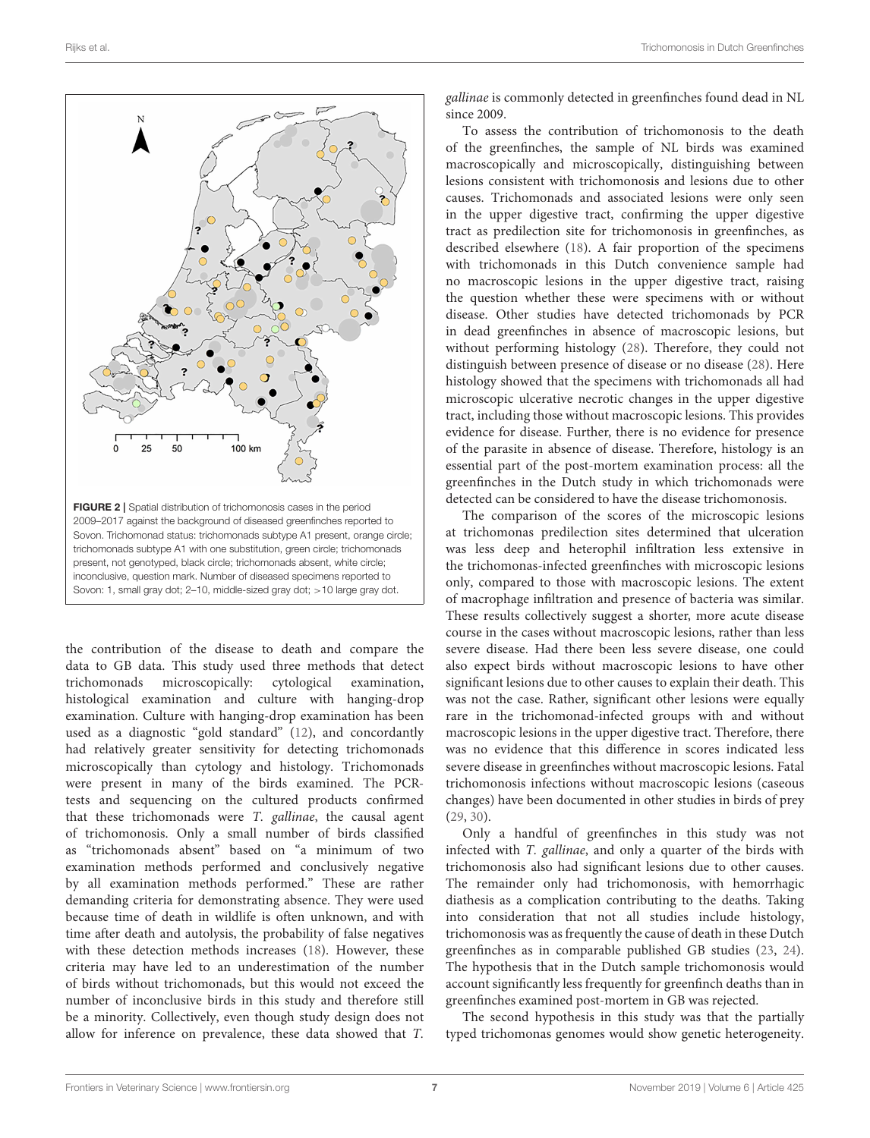

<span id="page-6-0"></span>the contribution of the disease to death and compare the data to GB data. This study used three methods that detect trichomonads microscopically: cytological examination, histological examination and culture with hanging-drop examination. Culture with hanging-drop examination has been used as a diagnostic "gold standard" [\(12\)](#page-8-9), and concordantly had relatively greater sensitivity for detecting trichomonads microscopically than cytology and histology. Trichomonads were present in many of the birds examined. The PCRtests and sequencing on the cultured products confirmed that these trichomonads were T. gallinae, the causal agent of trichomonosis. Only a small number of birds classified as "trichomonads absent" based on "a minimum of two examination methods performed and conclusively negative by all examination methods performed." These are rather demanding criteria for demonstrating absence. They were used because time of death in wildlife is often unknown, and with time after death and autolysis, the probability of false negatives with these detection methods increases [\(18\)](#page-8-11). However, these criteria may have led to an underestimation of the number of birds without trichomonads, but this would not exceed the number of inconclusive birds in this study and therefore still be a minority. Collectively, even though study design does not allow for inference on prevalence, these data showed that T. gallinae is commonly detected in greenfinches found dead in NL since 2009.

To assess the contribution of trichomonosis to the death of the greenfinches, the sample of NL birds was examined macroscopically and microscopically, distinguishing between lesions consistent with trichomonosis and lesions due to other causes. Trichomonads and associated lesions were only seen in the upper digestive tract, confirming the upper digestive tract as predilection site for trichomonosis in greenfinches, as described elsewhere [\(18\)](#page-8-11). A fair proportion of the specimens with trichomonads in this Dutch convenience sample had no macroscopic lesions in the upper digestive tract, raising the question whether these were specimens with or without disease. Other studies have detected trichomonads by PCR in dead greenfinches in absence of macroscopic lesions, but without performing histology [\(28\)](#page-8-23). Therefore, they could not distinguish between presence of disease or no disease [\(28\)](#page-8-23). Here histology showed that the specimens with trichomonads all had microscopic ulcerative necrotic changes in the upper digestive tract, including those without macroscopic lesions. This provides evidence for disease. Further, there is no evidence for presence of the parasite in absence of disease. Therefore, histology is an essential part of the post-mortem examination process: all the greenfinches in the Dutch study in which trichomonads were detected can be considered to have the disease trichomonosis.

The comparison of the scores of the microscopic lesions at trichomonas predilection sites determined that ulceration was less deep and heterophil infiltration less extensive in the trichomonas-infected greenfinches with microscopic lesions only, compared to those with macroscopic lesions. The extent of macrophage infiltration and presence of bacteria was similar. These results collectively suggest a shorter, more acute disease course in the cases without macroscopic lesions, rather than less severe disease. Had there been less severe disease, one could also expect birds without macroscopic lesions to have other significant lesions due to other causes to explain their death. This was not the case. Rather, significant other lesions were equally rare in the trichomonad-infected groups with and without macroscopic lesions in the upper digestive tract. Therefore, there was no evidence that this difference in scores indicated less severe disease in greenfinches without macroscopic lesions. Fatal trichomonosis infections without macroscopic lesions (caseous changes) have been documented in other studies in birds of prey [\(29,](#page-8-24) [30\)](#page-8-25).

Only a handful of greenfinches in this study was not infected with T. gallinae, and only a quarter of the birds with trichomonosis also had significant lesions due to other causes. The remainder only had trichomonosis, with hemorrhagic diathesis as a complication contributing to the deaths. Taking into consideration that not all studies include histology, trichomonosis was as frequently the cause of death in these Dutch greenfinches as in comparable published GB studies [\(23,](#page-8-13) [24\)](#page-8-16). The hypothesis that in the Dutch sample trichomonosis would account significantly less frequently for greenfinch deaths than in greenfinches examined post-mortem in GB was rejected.

The second hypothesis in this study was that the partially typed trichomonas genomes would show genetic heterogeneity.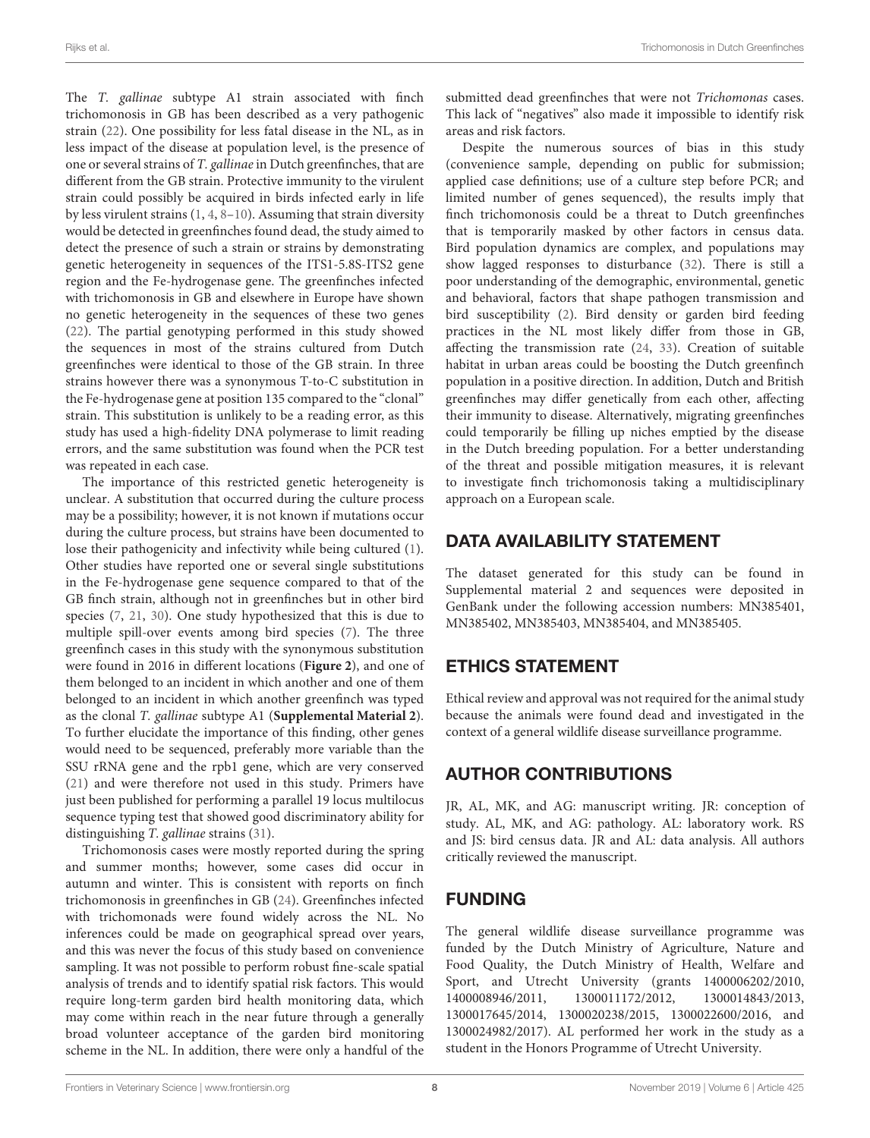The T. gallinae subtype A1 strain associated with finch trichomonosis in GB has been described as a very pathogenic strain [\(22\)](#page-8-14). One possibility for less fatal disease in the NL, as in less impact of the disease at population level, is the presence of one or several strains of T. gallinae in Dutch greenfinches, that are different from the GB strain. Protective immunity to the virulent strain could possibly be acquired in birds infected early in life by less virulent strains [\(1,](#page-8-0) [4,](#page-8-2) [8](#page-8-6)[–10\)](#page-8-7). Assuming that strain diversity would be detected in greenfinches found dead, the study aimed to detect the presence of such a strain or strains by demonstrating genetic heterogeneity in sequences of the ITS1-5.8S-ITS2 gene region and the Fe-hydrogenase gene. The greenfinches infected with trichomonosis in GB and elsewhere in Europe have shown no genetic heterogeneity in the sequences of these two genes [\(22\)](#page-8-14). The partial genotyping performed in this study showed the sequences in most of the strains cultured from Dutch greenfinches were identical to those of the GB strain. In three strains however there was a synonymous T-to-C substitution in the Fe-hydrogenase gene at position 135 compared to the "clonal" strain. This substitution is unlikely to be a reading error, as this study has used a high-fidelity DNA polymerase to limit reading errors, and the same substitution was found when the PCR test was repeated in each case.

The importance of this restricted genetic heterogeneity is unclear. A substitution that occurred during the culture process may be a possibility; however, it is not known if mutations occur during the culture process, but strains have been documented to lose their pathogenicity and infectivity while being cultured [\(1\)](#page-8-0). Other studies have reported one or several single substitutions in the Fe-hydrogenase gene sequence compared to that of the GB finch strain, although not in greenfinches but in other bird species [\(7,](#page-8-5) [21,](#page-8-26) [30\)](#page-8-25). One study hypothesized that this is due to multiple spill-over events among bird species [\(7\)](#page-8-5). The three greenfinch cases in this study with the synonymous substitution were found in 2016 in different locations (**[Figure 2](#page-6-0)**), and one of them belonged to an incident in which another and one of them belonged to an incident in which another greenfinch was typed as the clonal T. gallinae subtype A1 (**[Supplemental Material 2](#page-8-18)**). To further elucidate the importance of this finding, other genes would need to be sequenced, preferably more variable than the SSU rRNA gene and the rpb1 gene, which are very conserved [\(21\)](#page-8-26) and were therefore not used in this study. Primers have just been published for performing a parallel 19 locus multilocus sequence typing test that showed good discriminatory ability for distinguishing T. gallinae strains [\(31\)](#page-9-0).

Trichomonosis cases were mostly reported during the spring and summer months; however, some cases did occur in autumn and winter. This is consistent with reports on finch trichomonosis in greenfinches in GB [\(24\)](#page-8-16). Greenfinches infected with trichomonads were found widely across the NL. No inferences could be made on geographical spread over years, and this was never the focus of this study based on convenience sampling. It was not possible to perform robust fine-scale spatial analysis of trends and to identify spatial risk factors. This would require long-term garden bird health monitoring data, which may come within reach in the near future through a generally broad volunteer acceptance of the garden bird monitoring scheme in the NL. In addition, there were only a handful of the submitted dead greenfinches that were not Trichomonas cases. This lack of "negatives" also made it impossible to identify risk areas and risk factors.

Despite the numerous sources of bias in this study (convenience sample, depending on public for submission; applied case definitions; use of a culture step before PCR; and limited number of genes sequenced), the results imply that finch trichomonosis could be a threat to Dutch greenfinches that is temporarily masked by other factors in census data. Bird population dynamics are complex, and populations may show lagged responses to disturbance [\(32\)](#page-9-1). There is still a poor understanding of the demographic, environmental, genetic and behavioral, factors that shape pathogen transmission and bird susceptibility [\(2\)](#page-8-21). Bird density or garden bird feeding practices in the NL most likely differ from those in GB, affecting the transmission rate [\(24,](#page-8-16) [33\)](#page-9-2). Creation of suitable habitat in urban areas could be boosting the Dutch greenfinch population in a positive direction. In addition, Dutch and British greenfinches may differ genetically from each other, affecting their immunity to disease. Alternatively, migrating greenfinches could temporarily be filling up niches emptied by the disease in the Dutch breeding population. For a better understanding of the threat and possible mitigation measures, it is relevant to investigate finch trichomonosis taking a multidisciplinary approach on a European scale.

# DATA AVAILABILITY STATEMENT

The dataset generated for this study can be found in Supplemental material 2 and sequences were deposited in GenBank under the following accession numbers: MN385401, MN385402, MN385403, MN385404, and MN385405.

# ETHICS STATEMENT

Ethical review and approval was not required for the animal study because the animals were found dead and investigated in the context of a general wildlife disease surveillance programme.

# AUTHOR CONTRIBUTIONS

JR, AL, MK, and AG: manuscript writing. JR: conception of study. AL, MK, and AG: pathology. AL: laboratory work. RS and JS: bird census data. JR and AL: data analysis. All authors critically reviewed the manuscript.

# FUNDING

The general wildlife disease surveillance programme was funded by the Dutch Ministry of Agriculture, Nature and Food Quality, the Dutch Ministry of Health, Welfare and Sport, and Utrecht University (grants 1400006202/2010, 1400008946/2011, 1300011172/2012, 1300014843/2013, 1300017645/2014, 1300020238/2015, 1300022600/2016, and 1300024982/2017). AL performed her work in the study as a student in the Honors Programme of Utrecht University.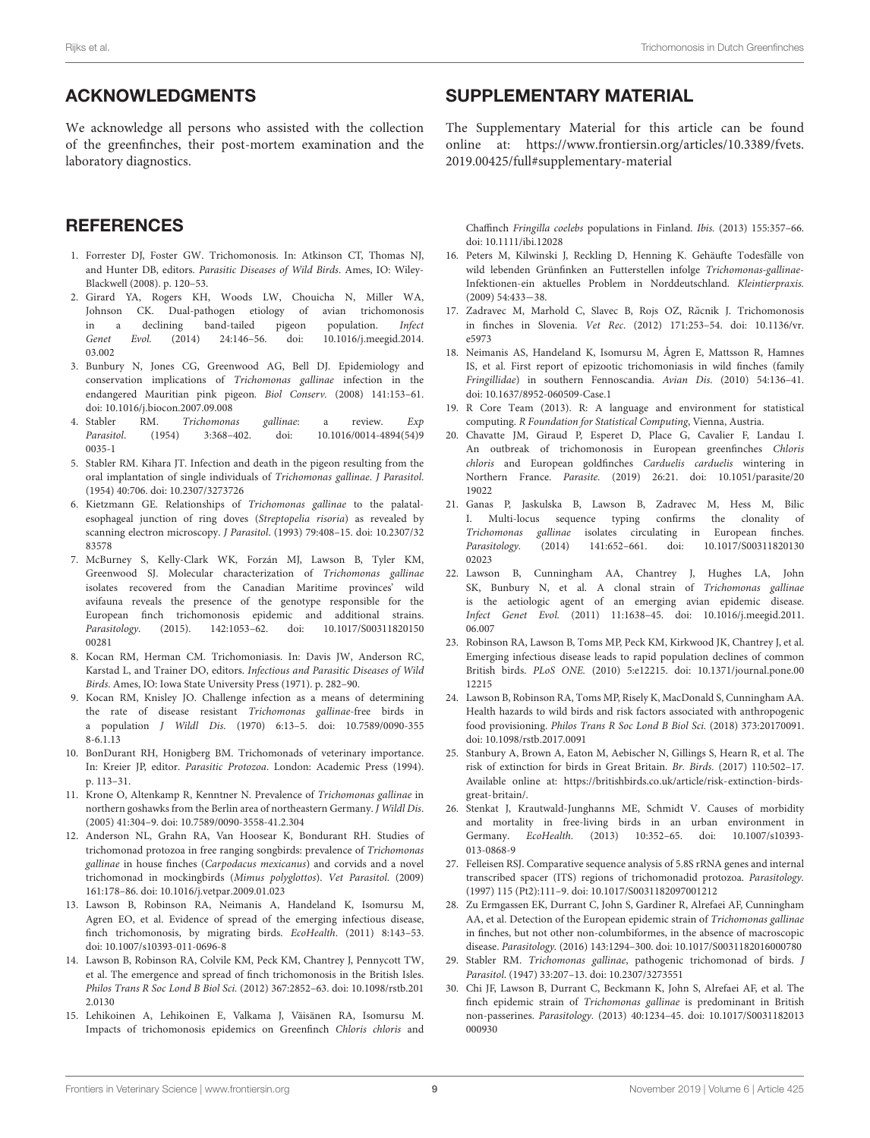# ACKNOWLEDGMENTS

We acknowledge all persons who assisted with the collection of the greenfinches, their post-mortem examination and the laboratory diagnostics.

### **REFERENCES**

- <span id="page-8-0"></span>1. Forrester DJ, Foster GW. Trichomonosis. In: Atkinson CT, Thomas NJ, and Hunter DB, editors. Parasitic Diseases of Wild Birds. Ames, IO: Wiley-Blackwell (2008). p. 120–53.
- <span id="page-8-21"></span>2. Girard YA, Rogers KH, Woods LW, Chouicha N, Miller WA, Johnson CK. Dual-pathogen etiology of avian trichomonosis in a declining band-tailed pigeon population. Infect Genet Evol. [\(2014\) 24:146–56. doi: 10.1016/j.meegid.2014.](https://doi.org/10.1016/j.meegid.2014.03.002) 03.002
- <span id="page-8-1"></span>3. Bunbury N, Jones CG, Greenwood AG, Bell DJ. Epidemiology and conservation implications of Trichomonas gallinae infection in the endangered Mauritian pink pigeon. Biol Conserv. (2008) 141:153–61. doi: [10.1016/j.biocon.2007.09.008](https://doi.org/10.1016/j.biocon.2007.09.008)
- <span id="page-8-2"></span>4. Stabler RM. Trichomonas gallinae: a review. Exp Parasitol[. \(1954\) 3:368–402. doi: 10.1016/0014-4894\(54\)9](https://doi.org/10.1016/0014-4894(54)90035-1) 0035-1
- <span id="page-8-3"></span>5. Stabler RM. Kihara JT. Infection and death in the pigeon resulting from the oral implantation of single individuals of Trichomonas gallinae. J Parasitol. (1954) 40:706. doi: [10.2307/3273726](https://doi.org/10.2307/3273726)
- <span id="page-8-4"></span>6. Kietzmann GE. Relationships of Trichomonas gallinae to the palatalesophageal junction of ring doves (Streptopelia risoria) as revealed by scanning electron microscopy. J Parasitol[. \(1993\) 79:408–15. doi: 10.2307/32](https://doi.org/10.2307/3283578) 83578
- <span id="page-8-5"></span>7. McBurney S, Kelly-Clark WK, Forzán MJ, Lawson B, Tyler KM, Greenwood SJ. Molecular characterization of Trichomonas gallinae isolates recovered from the Canadian Maritime provinces' wild avifauna reveals the presence of the genotype responsible for the European finch trichomonosis epidemic and additional strains. Parasitology[. \(2015\). 142:1053–62. doi: 10.1017/S00311820150](https://doi.org/10.1017/S0031182015000281) 00281
- <span id="page-8-6"></span>8. Kocan RM, Herman CM. Trichomoniasis. In: Davis JW, Anderson RC, Karstad L, and Trainer DO, editors. Infectious and Parasitic Diseases of Wild Birds. Ames, IO: Iowa State University Press (1971). p. 282–90.
- 9. Kocan RM, Knisley JO. Challenge infection as a means of determining the rate of disease resistant Trichomonas gallinae-free birds in a population J Wildl Dis[. \(1970\) 6:13–5. doi: 10.7589/0090-355](https://doi.org/10.7589/0090-3558-6.1.13) 8-6.1.13
- <span id="page-8-7"></span>10. BonDurant RH, Honigberg BM. Trichomonads of veterinary importance. In: Kreier JP, editor. Parasitic Protozoa. London: Academic Press (1994). p. 113–31.
- <span id="page-8-8"></span>11. Krone O, Altenkamp R, Kenntner N. Prevalence of Trichomonas gallinae in northern goshawks from the Berlin area of northeastern Germany. J Wildl Dis. (2005) 41:304–9. doi: [10.7589/0090-3558-41.2.304](https://doi.org/10.7589/0090-3558-41.2.304)
- <span id="page-8-9"></span>12. Anderson NL, Grahn RA, Van Hoosear K, Bondurant RH. Studies of trichomonad protozoa in free ranging songbirds: prevalence of Trichomonas gallinae in house finches (Carpodacus mexicanus) and corvids and a novel trichomonad in mockingbirds (Mimus polyglottos). Vet Parasitol. (2009) 161:178–86. doi: [10.1016/j.vetpar.2009.01.023](https://doi.org/10.1016/j.vetpar.2009.01.023)
- <span id="page-8-10"></span>13. Lawson B, Robinson RA, Neimanis A, Handeland K, Isomursu M, Agren EO, et al. Evidence of spread of the emerging infectious disease, finch trichomonosis, by migrating birds. EcoHealth. (2011) 8:143-53. doi: [10.1007/s10393-011-0696-8](https://doi.org/10.1007/s10393-011-0696-8)
- <span id="page-8-15"></span>14. Lawson B, Robinson RA, Colvile KM, Peck KM, Chantrey J, Pennycott TW, et al. The emergence and spread of finch trichomonosis in the British Isles. Philos Trans R Soc Lond B Biol Sci. [\(2012\) 367:2852–63. doi: 10.1098/rstb.201](https://doi.org/10.1098/rstb.2012.0130) 2.0130
- 15. Lehikoinen A, Lehikoinen E, Valkama J, Väisänen RA, Isomursu M. Impacts of trichomonosis epidemics on Greenfinch Chloris chloris and

# SUPPLEMENTARY MATERIAL

<span id="page-8-18"></span>The Supplementary Material for this article can be found [online at: https://www.frontiersin.org/articles/10.3389/fvets.](https://www.frontiersin.org/articles/10.3389/fvets.2019.00425/full#supplementary-material) 2019.00425/full#supplementary-material

Chaffinch Fringilla coelebs populations in Finland. Ibis. (2013) 155:357–66. doi: [10.1111/ibi.12028](https://doi.org/10.1111/ibi.12028)

- 16. Peters M, Kilwinski J, Reckling D, Henning K. Gehäufte Todesfälle von wild lebenden Grünfinken an Futterstellen infolge Trichomonas-gallinae-Infektionen-ein aktuelles Problem in Norddeutschland. Kleintierpraxis. (2009) 54:433−38.
- 17. Zadravec M, Marhold C, Slavec B, Rojs OZ, Răcnik J. Trichomonosis in finches in Slovenia. Vet Rec[. \(2012\) 171:253–54. doi: 10.1136/vr.](https://doi.org/10.1136/vr.e5973) e5973
- <span id="page-8-11"></span>18. Neimanis AS, Handeland K, Isomursu M, Ågren E, Mattsson R, Hamnes IS, et al. First report of epizootic trichomoniasis in wild finches (family Fringillidae) in southern Fennoscandia. Avian Dis. (2010) 54:136–41. doi: [10.1637/8952-060509-Case.1](https://doi.org/10.1637/8952-060509-Case.1)
- <span id="page-8-19"></span>19. R Core Team (2013). R: A language and environment for statistical computing. R Foundation for Statistical Computing, Vienna, Austria.
- <span id="page-8-12"></span>20. Chavatte JM, Giraud P, Esperet D, Place G, Cavalier F, Landau I. An outbreak of trichomonosis in European greenfinches Chloris chloris and European goldfinches Carduelis carduelis wintering in Northern France. Parasite. [\(2019\) 26:21. doi: 10.1051/parasite/20](https://doi.org/10.1051/parasite/2019022) 19022
- <span id="page-8-26"></span>21. Ganas P, Jaskulska B, Lawson B, Zadravec M, Hess M, Bilic I. Multi-locus sequence typing confirms the clonality of Trichomonas gallinae isolates circulating in European finches. Parasitology. [\(2014\) 141:652–661. doi: 10.1017/S00311820130](https://doi.org/10.1017/S0031182013002023) 02023
- <span id="page-8-14"></span>22. Lawson B, Cunningham AA, Chantrey J, Hughes LA, John SK, Bunbury N, et al. A clonal strain of Trichomonas gallinae is the aetiologic agent of an emerging avian epidemic disease. Infect Genet Evol. [\(2011\) 11:1638–45. doi: 10.1016/j.meegid.2011.](https://doi.org/10.1016/j.meegid.2011.06.007) 06.007
- <span id="page-8-13"></span>23. Robinson RA, Lawson B, Toms MP, Peck KM, Kirkwood JK, Chantrey J, et al. Emerging infectious disease leads to rapid population declines of common British birds. PLoS ONE. [\(2010\) 5:e12215. doi: 10.1371/journal.pone.00](https://doi.org/10.1371/journal.pone.0012215) 12215
- <span id="page-8-16"></span>24. Lawson B, Robinson RA, Toms MP, Risely K, MacDonald S, Cunningham AA. Health hazards to wild birds and risk factors associated with anthropogenic food provisioning. Philos Trans R Soc Lond B Biol Sci. (2018) 373:20170091. doi: [10.1098/rstb.2017.0091](https://doi.org/10.1098/rstb.2017.0091)
- <span id="page-8-17"></span>25. Stanbury A, Brown A, Eaton M, Aebischer N, Gillings S, Hearn R, et al. The risk of extinction for birds in Great Britain. Br. Birds. (2017) 110:502–17. Available online at: [https://britishbirds.co.uk/article/risk-extinction-birds](https://britishbirds.co.uk/article/risk-extinction-birds-great-britain/)[great-britain/.](https://britishbirds.co.uk/article/risk-extinction-birds-great-britain/)
- <span id="page-8-20"></span>26. Stenkat J, Krautwald-Junghanns ME, Schmidt V. Causes of morbidity and mortality in free-living birds in an urban environment in Germany. EcoHealth. [\(2013\) 10:352–65. doi: 10.1007/s10393-](https://doi.org/10.1007/s10393-013-0868-9) 013-0868-9
- <span id="page-8-22"></span>27. Felleisen RSJ. Comparative sequence analysis of 5.8S rRNA genes and internal transcribed spacer (ITS) regions of trichomonadid protozoa. Parasitology. (1997) 115 (Pt2):111–9. doi: [10.1017/S0031182097001212](https://doi.org/10.1017/S0031182097001212)
- <span id="page-8-23"></span>28. Zu Ermgassen EK, Durrant C, John S, Gardiner R, Alrefaei AF, Cunningham AA, et al. Detection of the European epidemic strain of Trichomonas gallinae in finches, but not other non-columbiformes, in the absence of macroscopic disease. Parasitology. (2016) 143:1294–300. doi: [10.1017/S0031182016000780](https://doi.org/10.1017/S0031182016000780)
- <span id="page-8-24"></span>29. Stabler RM. Trichomonas gallinae, pathogenic trichomonad of birds. J Parasitol. (1947) 33:207–13. doi: [10.2307/3273551](https://doi.org/10.2307/3273551)
- <span id="page-8-25"></span>30. Chi JF, Lawson B, Durrant C, Beckmann K, John S, Alrefaei AF, et al. The finch epidemic strain of Trichomonas gallinae is predominant in British non-passerines. Parasitology. [\(2013\) 40:1234–45. doi: 10.1017/S0031182013](https://doi.org/10.1017/S0031182013000930) 000930